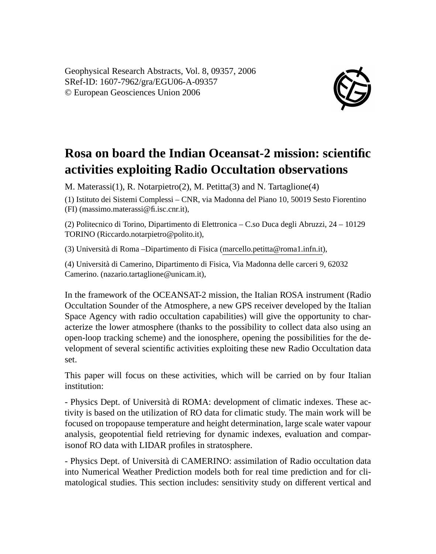Geophysical Research Abstracts, Vol. 8, 09357, 2006 SRef-ID: 1607-7962/gra/EGU06-A-09357 © European Geosciences Union 2006



## **Rosa on board the Indian Oceansat-2 mission: scientific activities exploiting Radio Occultation observations**

M. Materassi(1), R. Notarpietro(2), M. Petitta(3) and N. Tartaglione(4)

(1) Istituto dei Sistemi Complessi – CNR, via Madonna del Piano 10, 50019 Sesto Fiorentino

(FI) (massimo.materassi@fi.isc.cnr.it),

(2) Politecnico di Torino, Dipartimento di Elettronica – C.so Duca degli Abruzzi, 24 – 10129 TORINO (Riccardo.notarpietro@polito.it),

(3) Università di Roma –Dipartimento di Fisica (marcello.petitta@roma1.infn.it),

(4) Università di Camerino, Dipartimento di Fisica, Via Madonna delle carceri 9, 62032 Camerino. (nazario.tartaglione@unicam.it),

In the framework of the OCEANSAT-2 mission, the Italian ROSA instrument (Radio Occultation Sounder of the Atmosphere, a new GPS receiver developed by the Italian Space Agency with radio occultation capabilities) will give the opportunity to characterize the lower atmosphere (thanks to the possibility to collect data also using an open-loop tracking scheme) and the ionosphere, opening the possibilities for the development of several scientific activities exploiting these new Radio Occultation data set.

This paper will focus on these activities, which will be carried on by four Italian institution:

- Physics Dept. of Università di ROMA: development of climatic indexes. These activity is based on the utilization of RO data for climatic study. The main work will be focused on tropopause temperature and height determination, large scale water vapour analysis, geopotential field retrieving for dynamic indexes, evaluation and comparisonof RO data with LIDAR profiles in stratosphere.

- Physics Dept. of Università di CAMERINO: assimilation of Radio occultation data into Numerical Weather Prediction models both for real time prediction and for climatological studies. This section includes: sensitivity study on different vertical and